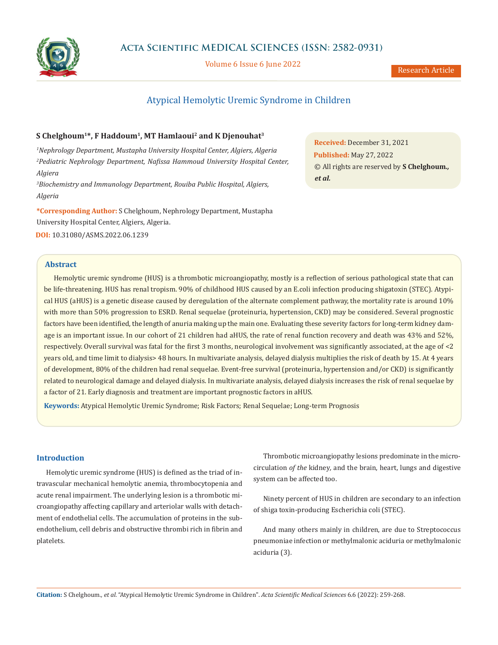

Volume 6 Issue 6 June 2022

# Atypical Hemolytic Uremic Syndrome in Children

## **S Chelghoum1\*, F Haddoum1, MT Hamlaoui2 and K Djenouhat3**

*1 Nephrology Department, Mustapha University Hospital Center, Algiers, Algeria 2 Pediatric Nephrology Department, Nafissa Hammoud University Hospital Center, Algiera*

*3 Biochemistry and Immunology Department, Rouiba Public Hospital, Algiers, Algeria*

**\*Corresponding Author:** S Chelghoum, Nephrology Department, Mustapha University Hospital Center, Algiers, Algeria. **DOI:** [10.31080/ASMS.2022.06.1239](https://actascientific.com/ASMS/pdf/ASMS-06-1239.pdf)

**Abstract**

Hemolytic uremic syndrome (HUS) is a thrombotic microangiopathy, mostly is a reflection of serious pathological state that can be life-threatening. HUS has renal tropism. 90% of childhood HUS caused by an E.coli infection producing shigatoxin (STEC). Atypical HUS (aHUS) is a genetic disease caused by deregulation of the alternate complement pathway, the mortality rate is around 10% with more than 50% progression to ESRD. Renal sequelae (proteinuria, hypertension, CKD) may be considered. Several prognostic factors have been identified, the length of anuria making up the main one. Evaluating these severity factors for long-term kidney damage is an important issue. In our cohort of 21 children had aHUS, the rate of renal function recovery and death was 43% and 52%, respectively. Overall survival was fatal for the first 3 months, neurological involvement was significantly associated, at the age of <2 years old, and time limit to dialysis> 48 hours. In multivariate analysis, delayed dialysis multiplies the risk of death by 15. At 4 years of development, 80% of the children had renal sequelae. Event-free survival (proteinuria, hypertension and/or CKD) is significantly related to neurological damage and delayed dialysis. In multivariate analysis, delayed dialysis increases the risk of renal sequelae by a factor of 21. Early diagnosis and treatment are important prognostic factors in aHUS.

**Keywords:** Atypical Hemolytic Uremic Syndrome; Risk Factors; Renal Sequelae; Long-term Prognosis

**Introduction**

Hemolytic uremic syndrome (HUS) is defined as the triad of intravascular mechanical hemolytic anemia, thrombocytopenia and acute renal impairment. The underlying lesion is a thrombotic microangiopathy affecting capillary and arteriolar walls with detachment of endothelial cells. The accumulation of proteins in the subendothelium*,* cell debris and obstructive thrombi rich in fibrin and platelets.

Thrombotic microangiopathy lesions predominate in the microcirculation *of the* kidney*,* and the brain, heart, lungs and digestive system can be affected too.

Ninety percent of HUS in children are secondary to an infection of shiga toxin-producing Escherichia coli (STEC).

And many others mainly in children, are due to Streptococcus pneumoniae infection or methylmalonic aciduria or methylmalonic aciduria (3).

**Received:** December 31, 2021 **Published:** May 27, 2022 © All rights are reserved by **S Chelghoum***., et al.*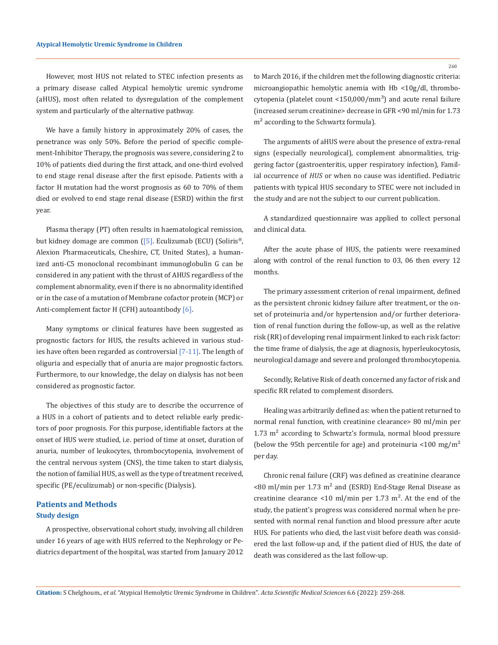However, most HUS not related to STEC infection presents as a primary disease called Atypical hemolytic uremic syndrome (aHUS), most often related to dysregulation of the complement system and particularly of the alternative pathway.

We have a family history in approximately 20% of cases, the penetrance was only 50%. Before the period of specific complement-Inhibitor Therapy, the prognosis was severe, considering 2 to 10% of patients died during the first attack, and one-third evolved to end stage renal disease after the first episode. Patients with a factor H mutation had the worst prognosis as 60 to 70% of them died or evolved to end stage renal disease (ESRD) within the first year.

Plasma therapy (PT) often results in haematological remission, but kidney domage are common ([5]. Eculizumab (ECU) (Soliris®, Alexion Pharmaceuticals, Cheshire, CT, United States), a humanized anti-C5 monoclonal recombinant immunoglobulin G can be considered in any patient with the thrust of AHUS regardless of the complement abnormality, even if there is no abnormality identified or in the case of a mutation of Membrane cofactor protein (MCP) or Anti-complement factor H (CFH) autoantibody [6].

Many symptoms or clinical features have been suggested as prognostic factors for HUS, the results achieved in various studies have often been regarded as controversial [7-11]. The length of oliguria and especially that of anuria are major prognostic factors. Furthermore, to our knowledge, the delay on dialysis has not been considered as prognostic factor.

The objectives of this study are to describe the occurrence of a HUS in a cohort of patients and to detect reliable early predictors of poor prognosis. For this purpose, identifiable factors at the onset of HUS were studied, i.e. period of time at onset, duration of anuria, number of leukocytes, thrombocytopenia, involvement of the central nervous system (CNS), the time taken to start dialysis, the notion of familial HUS, as well as the type of treatment received, specific (PE/eculizumab) or non-specific (Dialysis).

# **Patients and Methods Study design**

A prospective, observational cohort study, involving all children under 16 years of age with HUS referred to the Nephrology or Pediatrics department of the hospital, was started from January 2012 to March 2016, if the children met the following diagnostic criteria: microangiopathic hemolytic anemia with Hb <10g/dl, thrombocytopenia (platelet count  $<$ 150,000/mm<sup>3</sup>) and acute renal failure (increased serum creatinine> decrease in GFR <90 ml/min for 1.73 m<sup>2</sup> according to the Schwartz formula).

The arguments of aHUS were about the presence of extra-renal signs (especially neurological), complement abnormalities, triggering factor (gastroenteritis, upper respiratory infection), Familial occurrence of *HUS* or when no cause was identified. Pediatric patients with typical HUS secondary to STEC were not included in the study and are not the subject to our current publication.

A standardized questionnaire was applied to collect personal and clinical data.

After the acute phase of HUS, the patients were reexamined along with control of the renal function to 03, 06 then every 12 months.

The primary assessment criterion of renal impairment, defined as the persistent chronic kidney failure after treatment, or the onset of proteinuria and/or hypertension and/or further deterioration of renal function during the follow-up, as well as the relative risk (RR) of developing renal impairment linked to each risk factor: the time frame of dialysis, the age at diagnosis, hyperleukocytosis, neurological damage and severe and prolonged thrombocytopenia.

Secondly, Relative Risk of death concerned any factor of risk and specific RR related to complement disorders.

Healing was arbitrarily defined as: when the patient returned to normal renal function, with creatinine clearance> 80 ml/min per 1.73 m² according to Schwartz's formula, normal blood pressure (below the 95th percentile for age) and proteinuria  $\langle 100 \text{ mg/m}^2$ per day.

Chronic renal failure (CRF) was defined as creatinine clearance  $\leq$ 80 ml/min per 1.73 m<sup>2</sup> and (ESRD) End-Stage Renal Disease as creatinine clearance <10 ml/min per 1.73 m<sup>2</sup>. At the end of the study, the patient's progress was considered normal when he presented with normal renal function and blood pressure after acute HUS. For patients who died, the last visit before death was considered the last follow-up and, if the patient died of HUS, the date of death was considered as the last follow-up.

**Citation:** S Chelghoum*., et al.* "Atypical Hemolytic Uremic Syndrome in Children". *Acta Scientific Medical Sciences* 6.6 (2022): 259-268.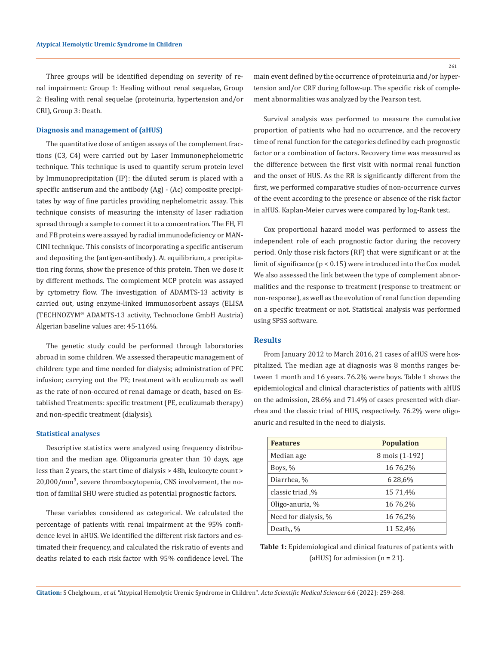Three groups will be identified depending on severity of renal impairment: Group 1: Healing without renal sequelae, Group 2: Healing with renal sequelae (proteinuria, hypertension and/or CRI), Group 3: Death.

#### **Diagnosis and management of (aHUS)**

The quantitative dose of antigen assays of the complement fractions (C3, C4) were carried out by Laser Immunonephelometric technique. This technique is used to quantify serum protein level by Immunoprecipitation (IP): the diluted serum is placed with a specific antiserum and the antibody (Ag) - (Ac) composite precipitates by way of fine particles providing nephelometric assay. This technique consists of measuring the intensity of laser radiation spread through a sample to connect it to a concentration. The FH, FI and FB proteins were assayed by radial immunodeficiency or MAN-CINI technique. This consists of incorporating a specific antiserum and depositing the (antigen-antibody). At equilibrium, a precipitation ring forms, show the presence of this protein. Then we dose it by different methods. The complement MCP protein was assayed by cytometry flow. The investigation of ADAMTS-13 activity is carried out, using enzyme-linked immunosorbent assays (ELISA (TECHNOZYM® ADAMTS-13 activity, Technoclone GmbH Austria) Algerian baseline values are: 45-116%.

The genetic study could be performed through laboratories abroad in some children. We assessed therapeutic management of children: type and time needed for dialysis; administration of PFC infusion; carrying out the PE; treatment with eculizumab as well as the rate of non-occured of renal damage or death, based on Established Treatments: specific treatment (PE, eculizumab therapy) and non-specific treatment (dialysis).

### **Statistical analyses**

Descriptive statistics were analyzed using frequency distribution and the median age. Oligoanuria greater than 10 days, age less than 2 years, the start time of dialysis > 48h, leukocyte count >  $20,000/\text{mm}^3$ , severe thrombocytopenia, CNS involvement, the notion of familial SHU were studied as potential prognostic factors.

These variables considered as categorical. We calculated the percentage of patients with renal impairment at the 95% confidence level in aHUS. We identified the different risk factors and estimated their frequency, and calculated the risk ratio of events and deaths related to each risk factor with 95% confidence level. The

main event defined by the occurrence of proteinuria and/or hypertension and/or CRF during follow-up. The specific risk of complement abnormalities was analyzed by the Pearson test.

Survival analysis was performed to measure the cumulative proportion of patients who had no occurrence, and the recovery time of renal function for the categories defined by each prognostic factor or a combination of factors. Recovery time was measured as the difference between the first visit with normal renal function and the onset of HUS. As the RR is significantly different from the first, we performed comparative studies of non-occurrence curves of the event according to the presence or absence of the risk factor in aHUS. Kaplan-Meier curves were compared by log-Rank test.

Cox proportional hazard model was performed to assess the independent role of each prognostic factor during the recovery period. Only those risk factors (RF) that were significant or at the limit of significance (p < 0.15) were introduced into the Cox model. We also assessed the link between the type of complement abnormalities and the response to treatment (response to treatment or non-response), as well as the evolution of renal function depending on a specific treatment or not. Statistical analysis was performed using SPSS software.

### **Results**

From January 2012 to March 2016, 21 cases of aHUS were hospitalized. The median age at diagnosis was 8 months ranges between 1 month and 16 years. 76.2% were boys. Table 1 shows the epidemiological and clinical characteristics of patients with aHUS on the admission, 28.6% and 71.4% of cases presented with diarrhea and the classic triad of HUS, respectively. 76.2% were oligoanuric and resulted in the need to dialysis.

| <b>Features</b>      | <b>Population</b> |  |  |
|----------------------|-------------------|--|--|
| Median age           | 8 mois (1-192)    |  |  |
| Boys, %              | 16 76,2%          |  |  |
| Diarrhea, %          | 6 28,6%           |  |  |
| %, classic triad     | 15 71,4%          |  |  |
| Oligo-anuria, %      | 16 76,2%          |  |  |
| Need for dialysis, % | 16 76,2%          |  |  |
| Death,, %            | 11 52,4%          |  |  |

**Table 1:** Epidemiological and clinical features of patients with (aHUS) for admission  $(n = 21)$ .

**Citation:** S Chelghoum*., et al.* "Atypical Hemolytic Uremic Syndrome in Children". *Acta Scientific Medical Sciences* 6.6 (2022): 259-268.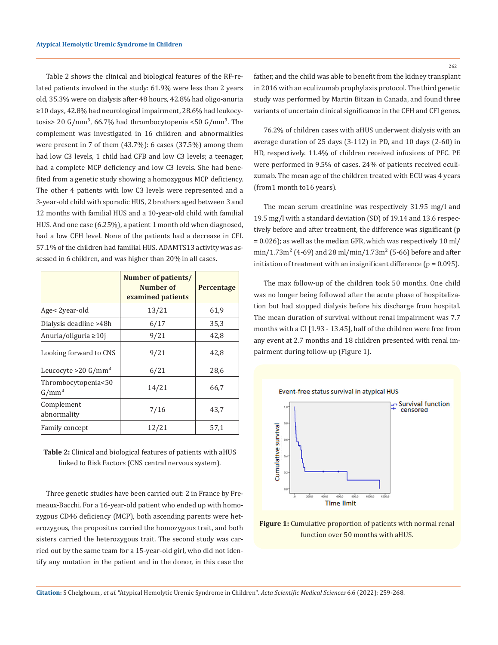Table 2 shows the clinical and biological features of the RF-related patients involved in the study: 61.9% were less than 2 years old, 35.3% were on dialysis after 48 hours, 42.8% had oligo-anuria ≥10 days, 42.8% had neurological impairment, 28.6% had leukocytosis> 20 G/mm<sup>3</sup>, 66.7% had thrombocytopenia <50 G/mm<sup>3</sup>. The complement was investigated in 16 children and abnormalities were present in 7 of them (43.7%): 6 cases (37.5%) among them had low C3 levels, 1 child had CFB and low C3 levels; a teenager, had a complete MCP deficiency and low C3 levels. She had benefited from a genetic study showing a homozygous MCP deficiency. The other 4 patients with low C3 levels were represented and a 3-year-old child with sporadic HUS, 2 brothers aged between 3 and 12 months with familial HUS and a 10-year-old child with familial HUS. And one case (6.25%), a patient 1 month old when diagnosed, had a low CFH level. None of the patients had a decrease in CFI. 57.1% of the children had familial HUS. ADAMTS13 activity was assessed in 6 children, and was higher than 20% in all cases.

|                                  | Number of patients/<br>Number of<br>examined patients | <b>Percentage</b> |
|----------------------------------|-------------------------------------------------------|-------------------|
| Age< 2year-old                   | 13/21                                                 | 61,9              |
| Dialysis deadline >48h           | 6/17                                                  | 35,3              |
| Anuria/oliguria ≥10j             | 9/21                                                  | 42,8              |
| Looking forward to CNS           | 9/21                                                  | 42,8              |
| Leucocyte >20 $G/mm^3$           | 6/21                                                  | 28,6              |
| Thrombocytopenia<50 <br>$G/mm^3$ | 14/21                                                 | 66,7              |
| Complement<br>abnormality        | 7/16                                                  | 43,7              |
| Family concept                   | 12/21                                                 | 57,1              |

**Table 2:** Clinical and biological features of patients with aHUS linked to Risk Factors (CNS central nervous system).

Three genetic studies have been carried out: 2 in France by Fremeaux-Bacchi. For a 16-year-old patient who ended up with homozygous CD46 deficiency (MCP), both ascending parents were heterozygous, the propositus carried the homozygous trait, and both sisters carried the heterozygous trait. The second study was carried out by the same team for a 15-year-old girl, who did not identify any mutation in the patient and in the donor, in this case the 262

father, and the child was able to benefit from the kidney transplant in 2016 with an eculizumab prophylaxis protocol. The third genetic study was performed by Martin Bitzan in Canada, and found three variants of uncertain clinical significance in the CFH and CFI genes.

76.2% of children cases with aHUS underwent dialysis with an average duration of 25 days (3-112) in PD, and 10 days (2-60) in HD, respectively. 11.4% of children received infusions of PFC. PE were performed in 9.5% of cases. 24% of patients received eculizumab. The mean age of the children treated with ECU was 4 years (from1 month to16 years).

The mean serum creatinine was respectively 31.95 mg/l and 19.5 mg/l with a standard deviation (SD) of 19.14 and 13.6 respectively before and after treatment, the difference was significant (p = 0.026); as well as the median GFR, which was respectively 10 ml/  $min/1.73m^{2}$  (4-69) and 28 ml/min/1.73m<sup>2</sup> (5-66) before and after initiation of treatment with an insignificant difference ( $p = 0.095$ ).

The max follow-up of the children took 50 months. One child was no longer being followed after the acute phase of hospitalization but had stopped dialysis before his discharge from hospital. The mean duration of survival without renal impairment was 7.7 months with a CI [1.93 - 13.45], half of the children were free from any event at 2.7 months and 18 children presented with renal impairment during follow-up (Figure 1).



**Figure 1:** Cumulative proportion of patients with normal renal function over 50 months with aHUS.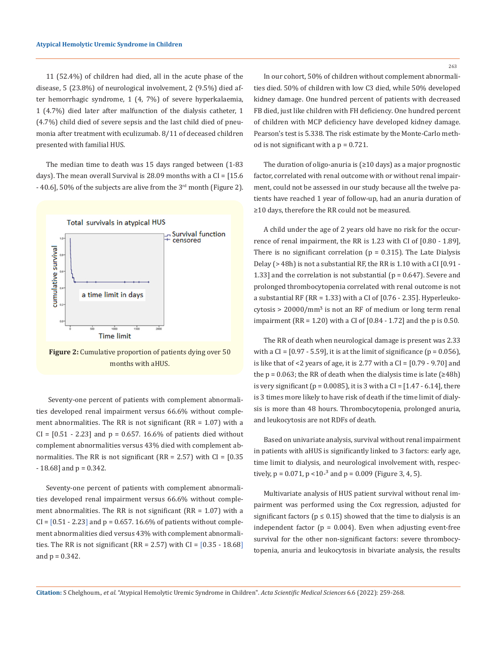11 (52.4%) of children had died, all in the acute phase of the disease, 5 (23.8%) of neurological involvement, 2 (9.5%) died after hemorrhagic syndrome, 1 (4, 7%) of severe hyperkalaemia, 1 (4.7%) died later after malfunction of the dialysis catheter, 1 (4.7%) child died of severe sepsis and the last child died of pneumonia after treatment with eculizumab. 8/11 of deceased children presented with familial HUS.

The median time to death was 15 days ranged between (1-83 days). The mean overall Survival is 28.09 months with a  $CI = [15.6$  $-$  40.6], 50% of the subjects are alive from the 3<sup>rd</sup> month (Figure 2).



**Figure 2:** Cumulative proportion of patients dying over 50 months with aHUS.

 Seventy-one percent of patients with complement abnormalities developed renal impairment versus 66.6% without complement abnormalities. The RR is not significant  $(RR = 1.07)$  with a  $CI = [0.51 - 2.23]$  and  $p = 0.657$ . 16.6% of patients died without complement abnormalities versus 43% died with complement abnormalities. The RR is not significant  $(RR = 2.57)$  with  $CI = [0.35]$  $-18.68$ ] and  $p = 0.342$ .

Seventy-one percent of patients with complement abnormalities developed renal impairment versus 66.6% without complement abnormalities. The RR is not significant (RR = 1.07) with a  $CI = [0.51 - 2.23]$  and  $p = 0.657$ . 16.6% of patients without complement abnormalities died versus 43% with complement abnormalities. The RR is not significant (RR = 2.57) with  $CI = [0.35 - 18.68]$ and  $p = 0.342$ .

263

In our cohort, 50% of children without complement abnormalities died. 50% of children with low C3 died, while 50% developed kidney damage. One hundred percent of patients with decreased FB died, just like children with FH deficiency. One hundred percent of children with MCP deficiency have developed kidney damage. Pearson's test is 5.338. The risk estimate by the Monte-Carlo method is not significant with a  $p = 0.721$ .

The duration of oligo-anuria is (≥10 days) as a major prognostic factor, correlated with renal outcome with or without renal impairment, could not be assessed in our study because all the twelve patients have reached 1 year of follow-up, had an anuria duration of ≥10 days, therefore the RR could not be measured.

A child under the age of 2 years old have no risk for the occurrence of renal impairment, the RR is 1.23 with CI of [0.80 - 1.89], There is no significant correlation ( $p = 0.315$ ). The Late Dialysis Delay (> 48h) is not a substantial RF, the RR is 1.10 with a CI [0.91 - 1.33] and the correlation is not substantial ( $p = 0.647$ ). Severe and prolonged thrombocytopenia correlated with renal outcome is not a substantial RF (RR = 1.33) with a CI of [0.76 - 2.35]. Hyperleuko $cytosis > 20000/mm<sup>3</sup>$  is not an RF of medium or long term renal impairment (RR = 1.20) with a CI of  $[0.84 - 1.72]$  and the p is 0.50.

The RR of death when neurological damage is present was 2.33 with a CI =  $[0.97 - 5.59]$ , it is at the limit of significance  $(p = 0.056)$ , is like that of  $<$ 2 years of age, it is 2.77 with a CI =  $[0.79 - 9.70]$  and the  $p = 0.063$ ; the RR of death when the dialysis time is late (≥48h) is very significant ( $p = 0.0085$ ), it is 3 with a CI = [1.47 - 6.14], there is 3 times more likely to have risk of death if the time limit of dialysis is more than 48 hours. Thrombocytopenia, prolonged anuria, and leukocytosis are not RDFs of death.

Based on univariate analysis, survival without renal impairment in patients with aHUS is significantly linked to 3 factors: early age, time limit to dialysis, and neurological involvement with, respectively,  $p = 0.071$ ,  $p < 10^{-3}$  and  $p = 0.009$  (Figure 3, 4, 5).

Multivariate analysis of HUS patient survival without renal impairment was performed using the Cox regression, adjusted for significant factors ( $p \le 0.15$ ) showed that the time to dialysis is an independent factor ( $p = 0.004$ ). Even when adjusting event-free survival for the other non-significant factors: severe thrombocytopenia, anuria and leukocytosis in bivariate analysis, the results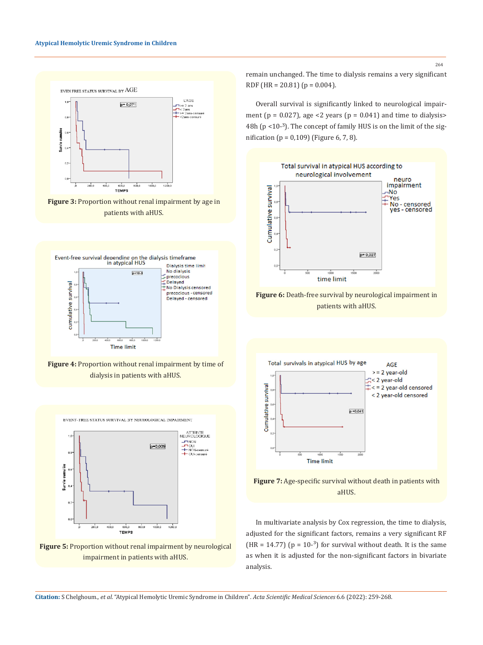

Figure 3: Proportion without renal impairment by age in patients with aHUS.



**Figure 4:** Proportion without renal impairment by time of dialysis in patients with aHUS.



**Figure 5:** Proportion without renal impairment by neurological impairment in patients with aHUS.

remain unchanged. The time to dialysis remains a very significant RDF (HR = 20.81) ( $p = 0.004$ ).

Overall survival is significantly linked to neurological impairment ( $p = 0.027$ ), age <2 years ( $p = 0.041$ ) and time to dialysis> 48h ( $p$  <10- $3$ ). The concept of family HUS is on the limit of the signification (p = 0,109) (Figure 6, 7, 8).









In multivariate analysis by Cox regression, the time to dialysis, adjusted for the significant factors, remains a very significant RF (HR = 14.77) ( $p = 10^{-3}$ ) for survival without death. It is the same as when it is adjusted for the non-significant factors in bivariate analysis.

**Citation:** S Chelghoum*., et al.* "Atypical Hemolytic Uremic Syndrome in Children". *Acta Scientific Medical Sciences* 6.6 (2022): 259-268.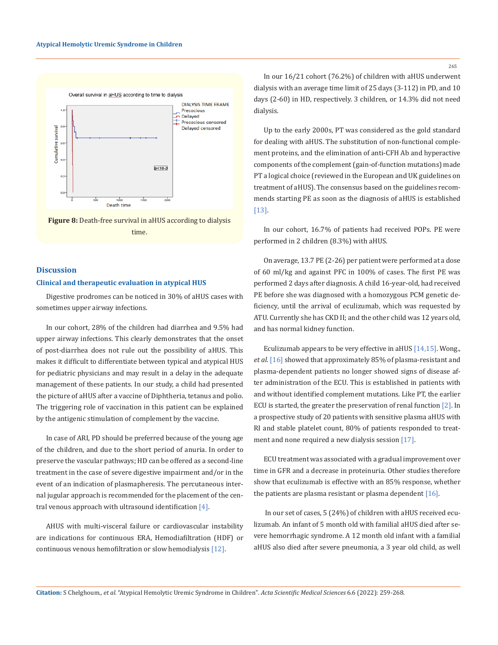



# **Discussion**

### **Clinical and therapeutic evaluation in atypical HUS**

Digestive prodromes can be noticed in 30% of aHUS cases with sometimes upper airway infections.

In our cohort, 28% of the children had diarrhea and 9.5% had upper airway infections. This clearly demonstrates that the onset of post-diarrhea does not rule out the possibility of aHUS. This makes it difficult to differentiate between typical and atypical HUS for pediatric physicians and may result in a delay in the adequate management of these patients. In our study, a child had presented the picture of aHUS after a vaccine of Diphtheria, tetanus and polio. The triggering role of vaccination in this patient can be explained by the antigenic stimulation of complement by the vaccine.

In case of ARI, PD should be preferred because of the young age of the children, and due to the short period of anuria. In order to preserve the vascular pathways; HD can be offered as a second-line treatment in the case of severe digestive impairment and/or in the event of an indication of plasmapheresis. The percutaneous internal jugular approach is recommended for the placement of the central venous approach with ultrasound identification [4].

AHUS with multi-visceral failure or cardiovascular instability are indications for continuous ERA, Hemodiafiltration (HDF) or continuous venous hemofiltration or slow hemodialysis [12].

In our 16/21 cohort (76.2%) of children with aHUS underwent dialysis with an average time limit of 25 days (3-112) in PD, and 10 days (2-60) in HD, respectively. 3 children, or 14.3% did not need dialysis.

Up to the early 2000s, PT was considered as the gold standard for dealing with aHUS. The substitution of non-functional complement proteins, and the elimination of anti-CFH Ab and hyperactive components of the complement (gain-of-function mutations) made PT a logical choice (reviewed in the European and UK guidelines on treatment of aHUS). The consensus based on the guidelines recommends starting PE as soon as the diagnosis of aHUS is established [13].

In our cohort, 16.7% of patients had received POPs. PE were performed in 2 children (8.3%) with aHUS.

On average, 13.7 PE (2-26) per patient were performed at a dose of 60 ml/kg and against PFC in 100% of cases. The first PE was performed 2 days after diagnosis. A child 16-year-old, had received PE before she was diagnosed with a homozygous PCM genetic deficiency, until the arrival of eculizumab, which was requested by ATU. Currently she has CKD II; and the other child was 12 years old, and has normal kidney function.

Eculizumab appears to be very effective in aHUS [14,15]. Wong., *et al*. [16] showed that approximately 85% of plasma-resistant and plasma-dependent patients no longer showed signs of disease after administration of the ECU. This is established in patients with and without identified complement mutations. Like PT, the earlier ECU is started, the greater the preservation of renal function [2]. In a prospective study of 20 patients with sensitive plasma aHUS with RI and stable platelet count, 80% of patients responded to treatment and none required a new dialysis session [17].

ECU treatment was associated with a gradual improvement over time in GFR and a decrease in proteinuria. Other studies therefore show that eculizumab is effective with an 85% response, whether the patients are plasma resistant or plasma dependent [16].

 In our set of cases, 5 (24%) of children with aHUS received eculizumab. An infant of 5 month old with familial aHUS died after severe hemorrhagic syndrome. A 12 month old infant with a familial aHUS also died after severe pneumonia, a 3 year old child, as well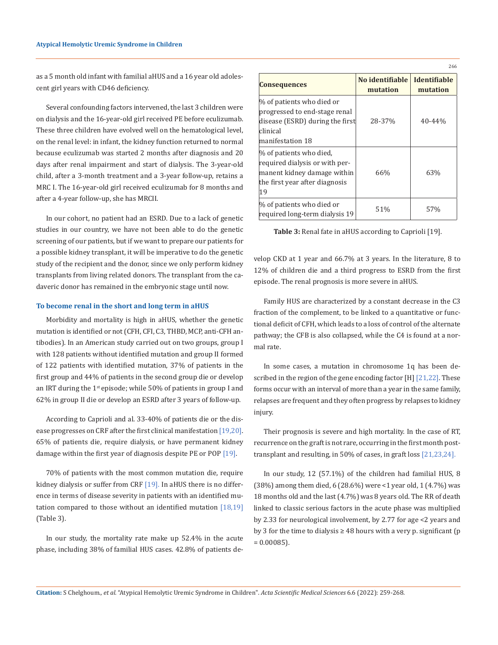as a 5 month old infant with familial aHUS and a 16 year old adolescent girl years with CD46 deficiency.

Several confounding factors intervened, the last 3 children were on dialysis and the 16-year-old girl received PE before eculizumab. These three children have evolved well on the hematological level, on the renal level: in infant, the kidney function returned to normal because eculizumab was started 2 months after diagnosis and 20 days after renal impairment and start of dialysis. The 3-year-old child, after a 3-month treatment and a 3-year follow-up, retains a MRC I. The 16-year-old girl received eculizumab for 8 months and after a 4-year follow-up, she has MRCII.

In our cohort, no patient had an ESRD. Due to a lack of genetic studies in our country, we have not been able to do the genetic screening of our patients, but if we want to prepare our patients for a possible kidney transplant, it will be imperative to do the genetic study of the recipient and the donor, since we only perform kidney transplants from living related donors. The transplant from the cadaveric donor has remained in the embryonic stage until now.

#### **To become renal in the short and long term in aHUS**

Morbidity and mortality is high in aHUS, whether the genetic mutation is identified or not (CFH, CFI, C3, THBD, MCP, anti-CFH antibodies). In an American study carried out on two groups, group I with 128 patients without identified mutation and group II formed of 122 patients with identified mutation, 37% of patients in the first group and 44% of patients in the second group die or develop an IRT during the  $1<sup>st</sup>$  episode; while 50% of patients in group I and 62% in group II die or develop an ESRD after 3 years of follow-up.

According to Caprioli and al. 33-40% of patients die or the disease progresses on CRF after the first clinical manifestation [19,20]. 65% of patients die, require dialysis, or have permanent kidney damage within the first year of diagnosis despite PE or POP [19].

70% of patients with the most common mutation die, require kidney dialysis or suffer from CRF [19]. In aHUS there is no difference in terms of disease severity in patients with an identified mutation compared to those without an identified mutation [18,19] (Table 3).

In our study, the mortality rate make up 52.4% in the acute phase, including 38% of familial HUS cases. 42.8% of patients de-

| <b>Consequences</b>                                                                                                              | No identifiable<br>mutation | <b>Identifiable</b><br>mutation |
|----------------------------------------------------------------------------------------------------------------------------------|-----------------------------|---------------------------------|
| % of patients who died or<br>progressed to end-stage renal<br>disease (ESRD) during the first<br>clinical<br>manifestation 18    | 28-37%                      | $40 - 44%$                      |
| % of patients who died,<br>required dialysis or with per-<br>manent kidney damage within<br>the first year after diagnosis<br>19 | 66%                         | 63%                             |
| % of patients who died or<br>required long-term dialysis 19                                                                      | 51%                         | 57%                             |

266

**Table 3:** Renal fate in aHUS according to Caprioli [19].

velop CKD at 1 year and 66.7% at 3 years. In the literature, 8 to 12% of children die and a third progress to ESRD from the first episode. The renal prognosis is more severe in aHUS.

Family HUS are characterized by a constant decrease in the C3 fraction of the complement, to be linked to a quantitative or functional deficit of CFH, which leads to a loss of control of the alternate pathway; the CFB is also collapsed, while the C4 is found at a normal rate.

In some cases, a mutation in chromosome 1q has been described in the region of the gene encoding factor [H] [21,22]. These forms occur with an interval of more than a year in the same family, relapses are frequent and they often progress by relapses to kidney injury.

Their prognosis is severe and high mortality. In the case of RT, recurrence on the graft is not rare, occurring in the first month posttransplant and resulting, in 50% of cases, in graft loss [21,23,24].

In our study, 12 (57.1%) of the children had familial HUS, 8 (38%) among them died, 6 (28.6%) were <1 year old, 1 (4.7%) was 18 months old and the last (4.7%) was 8 years old. The RR of death linked to classic serious factors in the acute phase was multiplied by 2.33 for neurological involvement, by 2.77 for age <2 years and by 3 for the time to dialysis  $\geq$  48 hours with a very p. significant (p  $= 0.00085$ ).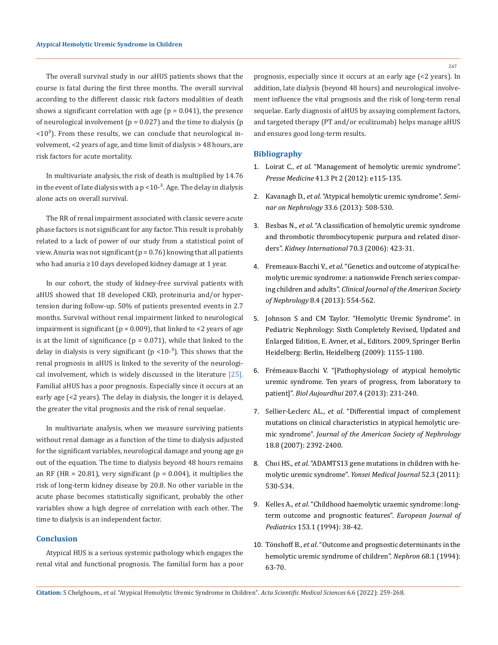The overall survival study in our aHUS patients shows that the course is fatal during the first three months. The overall survival according to the different classic risk factors modalities of death shows a significant correlation with age  $(p = 0.041)$ , the presence of neurological involvement ( $p = 0.027$ ) and the time to dialysis ( $p$  $\langle 10^3 \rangle$ . From these results, we can conclude that neurological involvement, <2 years of age, and time limit of dialysis > 48 hours, are risk factors for acute mortality.

In multivariate analysis, the risk of death is multiplied by 14.76 in the event of late dialysis with a  $p < 10^{-3}$ . Age. The delay in dialysis alone acts on overall survival.

The RR of renal impairment associated with classic severe acute phase factors is not significant for any factor. This result is probably related to a lack of power of our study from a statistical point of view. Anuria was not significant  $(p = 0.76)$  knowing that all patients who had anuria ≥10 days developed kidney damage at 1 year.

In our cohort, the study of kidney-free survival patients with aHUS showed that 18 developed CKD, proteinuria and/or hypertension during follow-up. 50% of patients presented events in 2.7 months. Survival without renal impairment linked to neurological impairment is significant ( $p = 0.009$ ), that linked to <2 years of age is at the limit of significance  $(p = 0.071)$ , while that linked to the delay in dialysis is very significant ( $p$  <10-<sup>3</sup>). This shows that the renal prognosis in aHUS is linked to the severity of the neurological involvement, which is widely discussed in the literature [25]. Familial aHUS has a poor prognosis. Especially since it occurs at an early age (<2 years). The delay in dialysis, the longer it is delayed, the greater the vital prognosis and the risk of renal sequelae.

In multivariate analysis, when we measure surviving patients without renal damage as a function of the time to dialysis adjusted for the significant variables, neurological damage and young age go out of the equation. The time to dialysis beyo*n*d 48 hours remains an RF (HR = 20.81), very significant ( $p = 0.004$ ), it multiplies the risk of long-term kidney disease by 20.8. No other variable in the acute phase becomes statistically significant, probably the other variables show a high degree of correlation with each other. The time to dialysis is an independent factor.

### **Conclusion**

Atypical HUS is a serious systemic pathology which engages the renal vital and functional prognosis. The familial form has a poor prognosis, especially since it occurs at an early age (<2 years). In addition, late dialysis (beyond 48 hours) and neurological involvement influence the vital prognosis and the risk of long-term renal sequelae. Early diagnosis of aHUS by assaying complement factors, and targeted therapy (PT and/or eculizumab) helps manage aHUS and ensures good long-term results.

#### **Bibliography**

- 1. Loirat C., *et al*[. "Management of hemolytic uremic syndrome".](https://pubmed.ncbi.nlm.nih.gov/22284541/)  *Presse Medicine* [41.3 Pt 2 \(2012\): e115-135.](https://pubmed.ncbi.nlm.nih.gov/22284541/)
- 2. Kavanagh D., *et al*. "Atypical hemolytic uremic syndrome". *Seminar on Nephrology* 33.6 (2013): 508-530.
- 3. Besbas N., *et al*[. "A classification of hemolytic uremic syndrome](https://pubmed.ncbi.nlm.nih.gov/16775594/)  [and thrombotic thrombocytopenic purpura and related disor](https://pubmed.ncbi.nlm.nih.gov/16775594/)ders". *[Kidney International](https://pubmed.ncbi.nlm.nih.gov/16775594/)* 70.3 (2006): 423-31.
- 4. Fremeaux-Bacchi V., *et al*[. "Genetics and outcome of atypical he](https://pubmed.ncbi.nlm.nih.gov/23307876/)[molytic uremic syndrome: a nationwide French series compar](https://pubmed.ncbi.nlm.nih.gov/23307876/)ing children and adults". *[Clinical Journal of the American Society](https://pubmed.ncbi.nlm.nih.gov/23307876/)  of Nephrology* [8.4 \(2013\): 554-562.](https://pubmed.ncbi.nlm.nih.gov/23307876/)
- 5. Johnson S and CM Taylor. "Hemolytic Uremic Syndrome". in Pediatric Nephrology: Sixth Completely Revised, Updated and Enlarged Edition, E. Avner, et al., Editors. 2009, Springer Berlin Heidelberg: Berlin, Heidelberg (2009): 1155-1180.
- 6. [Frémeaux-Bacchi V. "\[Pathophysiology of atypical hemolytic](https://pubmed.ncbi.nlm.nih.gov/24594571/)  [uremic syndrome. Ten years of progress, from laboratory to](https://pubmed.ncbi.nlm.nih.gov/24594571/)  patient]". *Biol Aujourdhui* [207.4 \(2013\): 231-240.](https://pubmed.ncbi.nlm.nih.gov/24594571/)
- 7. Sellier-Leclerc AL., *et al*[. "Differential impact of complement](https://jasn.asnjournals.org/content/18/8/2392)  [mutations on clinical characteristics in atypical hemolytic ure](https://jasn.asnjournals.org/content/18/8/2392)mic syndrome". *[Journal of the American Society of Nephrology](https://jasn.asnjournals.org/content/18/8/2392)*  [18.8 \(2007\): 2392-2400.](https://jasn.asnjournals.org/content/18/8/2392)
- 8. Choi HS., *et al*[. "ADAMTS13 gene mutations in children with he](https://pubmed.ncbi.nlm.nih.gov/21488199/)[molytic uremic syndrome".](https://pubmed.ncbi.nlm.nih.gov/21488199/) *Yonsei Medical Journal* 52.3 (2011): [530-534.](https://pubmed.ncbi.nlm.nih.gov/21488199/)
- 9. Kelles A., *et al*[. "Childhood haemolytic uraemic syndrome: long](https://pubmed.ncbi.nlm.nih.gov/8313923/)[term outcome and prognostic features".](https://pubmed.ncbi.nlm.nih.gov/8313923/) *European Journal of Pediatrics* [153.1 \(1994\): 38-42.](https://pubmed.ncbi.nlm.nih.gov/8313923/)
- 10. Tönshoff B., *et al*[. "Outcome and prognostic determinants in the](https://pubmed.ncbi.nlm.nih.gov/7991042/)  [hemolytic uremic syndrome of children".](https://pubmed.ncbi.nlm.nih.gov/7991042/) *Nephron* 68.1 (1994): [63-70.](https://pubmed.ncbi.nlm.nih.gov/7991042/)

**Citation:** S Chelghoum*., et al.* "Atypical Hemolytic Uremic Syndrome in Children". *Acta Scientific Medical Sciences* 6.6 (2022): 259-268.